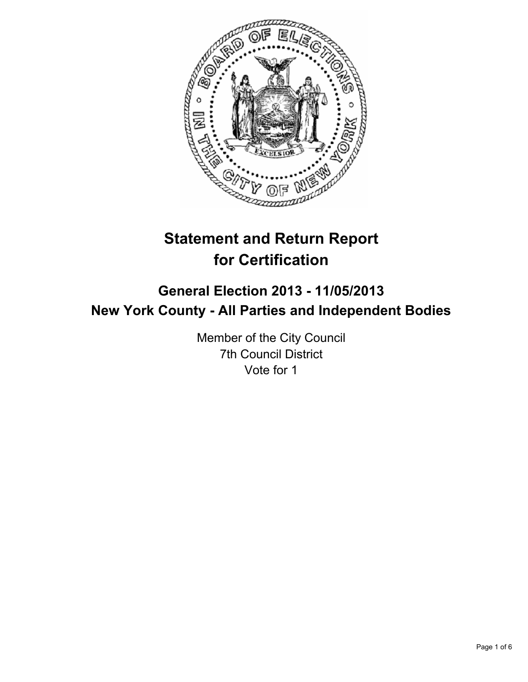

# **Statement and Return Report for Certification**

## **General Election 2013 - 11/05/2013 New York County - All Parties and Independent Bodies**

Member of the City Council 7th Council District Vote for 1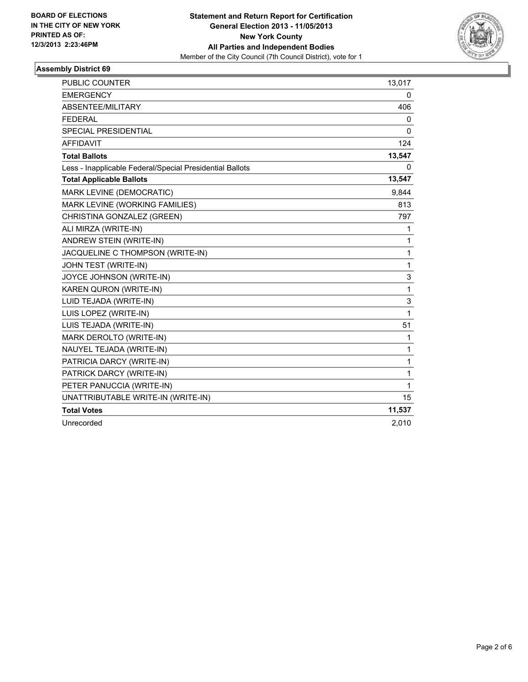

#### **Assembly District 69**

| <b>PUBLIC COUNTER</b>                                    | 13,017       |
|----------------------------------------------------------|--------------|
| <b>EMERGENCY</b>                                         | 0            |
| ABSENTEE/MILITARY                                        | 406          |
| <b>FEDERAL</b>                                           | 0            |
| SPECIAL PRESIDENTIAL                                     | 0            |
| <b>AFFIDAVIT</b>                                         | 124          |
| <b>Total Ballots</b>                                     | 13,547       |
| Less - Inapplicable Federal/Special Presidential Ballots | 0            |
| <b>Total Applicable Ballots</b>                          | 13,547       |
| MARK LEVINE (DEMOCRATIC)                                 | 9,844        |
| MARK LEVINE (WORKING FAMILIES)                           | 813          |
| CHRISTINA GONZALEZ (GREEN)                               | 797          |
| ALI MIRZA (WRITE-IN)                                     | 1            |
| ANDREW STEIN (WRITE-IN)                                  | 1            |
| JACQUELINE C THOMPSON (WRITE-IN)                         | 1            |
| JOHN TEST (WRITE-IN)                                     | 1            |
| JOYCE JOHNSON (WRITE-IN)                                 | 3            |
| KAREN QURON (WRITE-IN)                                   | 1            |
| LUID TEJADA (WRITE-IN)                                   | 3            |
| LUIS LOPEZ (WRITE-IN)                                    | 1            |
| LUIS TEJADA (WRITE-IN)                                   | 51           |
| MARK DEROLTO (WRITE-IN)                                  | $\mathbf{1}$ |
| NAUYEL TEJADA (WRITE-IN)                                 | 1            |
| PATRICIA DARCY (WRITE-IN)                                | 1            |
| PATRICK DARCY (WRITE-IN)                                 | 1            |
| PETER PANUCCIA (WRITE-IN)                                | 1            |
| UNATTRIBUTABLE WRITE-IN (WRITE-IN)                       | 15           |
| <b>Total Votes</b>                                       | 11,537       |
| Unrecorded                                               | 2,010        |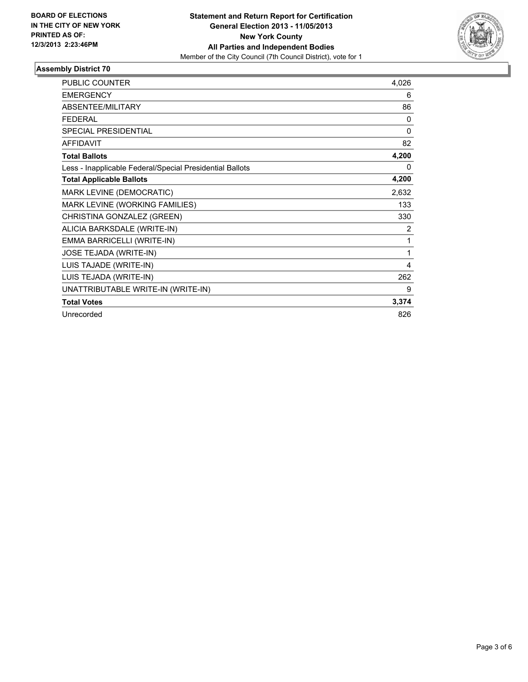

#### **Assembly District 70**

| PUBLIC COUNTER                                           | 4,026    |
|----------------------------------------------------------|----------|
| <b>EMERGENCY</b>                                         | 6        |
| <b>ABSENTEE/MILITARY</b>                                 | 86       |
| <b>FEDERAL</b>                                           | $\Omega$ |
| SPECIAL PRESIDENTIAL                                     | 0        |
| <b>AFFIDAVIT</b>                                         | 82       |
| <b>Total Ballots</b>                                     | 4,200    |
| Less - Inapplicable Federal/Special Presidential Ballots | 0        |
| <b>Total Applicable Ballots</b>                          | 4,200    |
| MARK LEVINE (DEMOCRATIC)                                 | 2,632    |
| MARK LEVINE (WORKING FAMILIES)                           | 133      |
| CHRISTINA GONZALEZ (GREEN)                               | 330      |
| ALICIA BARKSDALE (WRITE-IN)                              | 2        |
| EMMA BARRICELLI (WRITE-IN)                               | 1        |
| JOSE TEJADA (WRITE-IN)                                   | 1        |
| LUIS TAJADE (WRITE-IN)                                   | 4        |
| LUIS TEJADA (WRITE-IN)                                   | 262      |
| UNATTRIBUTABLE WRITE-IN (WRITE-IN)                       | 9        |
| <b>Total Votes</b>                                       | 3,374    |
| Unrecorded                                               | 826      |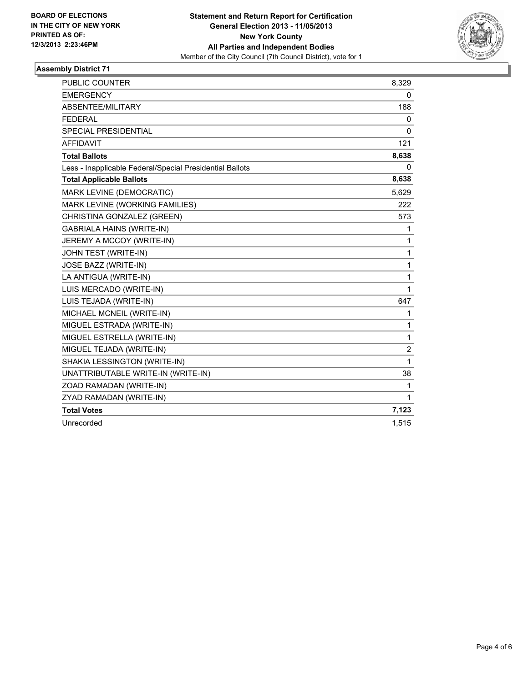

#### **Assembly District 71**

| <b>PUBLIC COUNTER</b>                                    | 8,329        |
|----------------------------------------------------------|--------------|
| <b>EMERGENCY</b>                                         | 0            |
| ABSENTEE/MILITARY                                        | 188          |
| <b>FEDERAL</b>                                           | 0            |
| <b>SPECIAL PRESIDENTIAL</b>                              | $\mathbf{0}$ |
| <b>AFFIDAVIT</b>                                         | 121          |
| <b>Total Ballots</b>                                     | 8,638        |
| Less - Inapplicable Federal/Special Presidential Ballots | 0            |
| <b>Total Applicable Ballots</b>                          | 8,638        |
| MARK LEVINE (DEMOCRATIC)                                 | 5,629        |
| MARK LEVINE (WORKING FAMILIES)                           | 222          |
| CHRISTINA GONZALEZ (GREEN)                               | 573          |
| <b>GABRIALA HAINS (WRITE-IN)</b>                         | 1            |
| JEREMY A MCCOY (WRITE-IN)                                | 1            |
| JOHN TEST (WRITE-IN)                                     | 1            |
| JOSE BAZZ (WRITE-IN)                                     | 1            |
| LA ANTIGUA (WRITE-IN)                                    | 1            |
| LUIS MERCADO (WRITE-IN)                                  | 1            |
| LUIS TEJADA (WRITE-IN)                                   | 647          |
| MICHAEL MCNEIL (WRITE-IN)                                | 1            |
| MIGUEL ESTRADA (WRITE-IN)                                | 1            |
| MIGUEL ESTRELLA (WRITE-IN)                               | 1            |
| MIGUEL TEJADA (WRITE-IN)                                 | 2            |
| SHAKIA LESSINGTON (WRITE-IN)                             | 1            |
| UNATTRIBUTABLE WRITE-IN (WRITE-IN)                       | 38           |
| ZOAD RAMADAN (WRITE-IN)                                  | 1            |
| ZYAD RAMADAN (WRITE-IN)                                  | 1            |
| <b>Total Votes</b>                                       | 7,123        |
| Unrecorded                                               | 1,515        |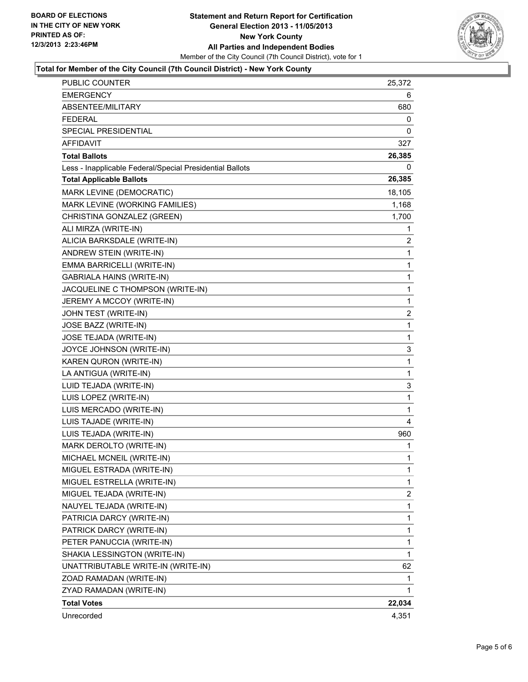

#### **Total for Member of the City Council (7th Council District) - New York County**

| PUBLIC COUNTER                                           | 25,372         |
|----------------------------------------------------------|----------------|
| <b>EMERGENCY</b>                                         | 6              |
| ABSENTEE/MILITARY                                        | 680            |
| FEDERAL                                                  | 0              |
| SPECIAL PRESIDENTIAL                                     | 0              |
| <b>AFFIDAVIT</b>                                         | 327            |
| <b>Total Ballots</b>                                     | 26,385         |
| Less - Inapplicable Federal/Special Presidential Ballots | 0              |
| <b>Total Applicable Ballots</b>                          | 26,385         |
| MARK LEVINE (DEMOCRATIC)                                 | 18,105         |
| MARK LEVINE (WORKING FAMILIES)                           | 1,168          |
| CHRISTINA GONZALEZ (GREEN)                               | 1,700          |
| ALI MIRZA (WRITE-IN)                                     | 1              |
| ALICIA BARKSDALE (WRITE-IN)                              | 2              |
| ANDREW STEIN (WRITE-IN)                                  | 1              |
| EMMA BARRICELLI (WRITE-IN)                               | 1              |
| <b>GABRIALA HAINS (WRITE-IN)</b>                         | 1              |
| JACQUELINE C THOMPSON (WRITE-IN)                         | 1              |
| JEREMY A MCCOY (WRITE-IN)                                | 1              |
| JOHN TEST (WRITE-IN)                                     | $\overline{2}$ |
| JOSE BAZZ (WRITE-IN)                                     | 1              |
| JOSE TEJADA (WRITE-IN)                                   | 1              |
| JOYCE JOHNSON (WRITE-IN)                                 | 3              |
| KAREN QURON (WRITE-IN)                                   | 1              |
| LA ANTIGUA (WRITE-IN)                                    | 1              |
| LUID TEJADA (WRITE-IN)                                   | 3              |
| LUIS LOPEZ (WRITE-IN)                                    | 1              |
| LUIS MERCADO (WRITE-IN)                                  | 1              |
| LUIS TAJADE (WRITE-IN)                                   | 4              |
| LUIS TEJADA (WRITE-IN)                                   | 960            |
| MARK DEROLTO (WRITE-IN)                                  | 1              |
| MICHAEL MCNEIL (WRITE-IN)                                | 1              |
| MIGUEL ESTRADA (WRITE-IN)                                | 1              |
| MIGUEL ESTRELLA (WRITE-IN)                               | 1              |
| MIGUEL TEJADA (WRITE-IN)                                 | $\overline{2}$ |
| NAUYEL TEJADA (WRITE-IN)                                 | 1              |
| PATRICIA DARCY (WRITE-IN)                                | 1              |
| PATRICK DARCY (WRITE-IN)                                 | 1              |
| PETER PANUCCIA (WRITE-IN)                                | 1              |
| SHAKIA LESSINGTON (WRITE-IN)                             | 1              |
| UNATTRIBUTABLE WRITE-IN (WRITE-IN)                       | 62             |
| ZOAD RAMADAN (WRITE-IN)                                  | 1              |
| ZYAD RAMADAN (WRITE-IN)                                  | 1              |
| <b>Total Votes</b>                                       | 22,034         |
| Unrecorded                                               | 4,351          |